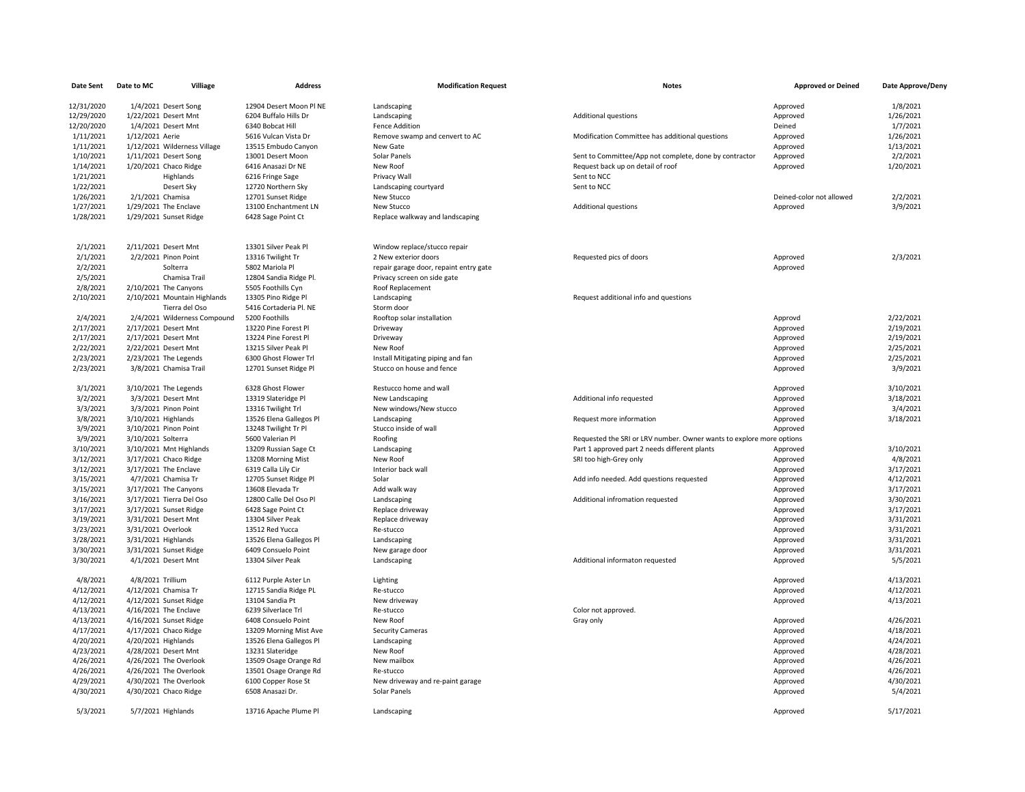| <b>Date Sent</b> | Villiage<br>Date to MC       | <b>Address</b>          | <b>Modification Request</b>            | <b>Notes</b>                                                         | <b>Approved or Deined</b> | Date Approve/Deny |
|------------------|------------------------------|-------------------------|----------------------------------------|----------------------------------------------------------------------|---------------------------|-------------------|
| 12/31/2020       | 1/4/2021 Desert Song         | 12904 Desert Moon Pl NE | Landscaping                            |                                                                      | Approved                  | 1/8/2021          |
| 12/29/2020       | 1/22/2021 Desert Mnt         | 6204 Buffalo Hills Dr   | Landscaping                            | <b>Additional questions</b>                                          | Approved                  | 1/26/2021         |
| 12/20/2020       | 1/4/2021 Desert Mnt          | 6340 Bobcat Hill        | <b>Fence Addition</b>                  |                                                                      | Deined                    | 1/7/2021          |
| 1/11/2021        | 1/12/2021 Aerie              | 5616 Vulcan Vista Dr    | Remove swamp and cenvert to AC         | Modification Committee has additional questions                      | Approved                  | 1/26/2021         |
| 1/11/2021        | 1/12/2021 Wilderness Village | 13515 Embudo Canyon     | New Gate                               |                                                                      | Approved                  | 1/13/2021         |
| 1/10/2021        | 1/11/2021 Desert Song        | 13001 Desert Moon       | Solar Panels                           | Sent to Committee/App not complete, done by contractor               | Approved                  | 2/2/2021          |
| 1/14/2021        | 1/20/2021 Chaco Ridge        | 6416 Anasazi Dr NE      | New Roof                               | Request back up on detail of roof                                    | Approved                  | 1/20/2021         |
| 1/21/2021        | Highlands                    | 6216 Fringe Sage        | Privacy Wall                           | Sent to NCC                                                          |                           |                   |
| 1/22/2021        | Desert Sky                   | 12720 Northern Sky      | Landscaping courtyard                  | Sent to NCC                                                          |                           |                   |
| 1/26/2021        | 2/1/2021 Chamisa             | 12701 Sunset Ridge      | New Stucco                             |                                                                      | Deined-color not allowed  | 2/2/2021          |
| 1/27/2021        | 1/29/2021 The Enclave        | 13100 Enchantment LN    | New Stucco                             | <b>Additional questions</b>                                          | Approved                  | 3/9/2021          |
| 1/28/2021        | 1/29/2021 Sunset Ridge       | 6428 Sage Point Ct      | Replace walkway and landscaping        |                                                                      |                           |                   |
|                  |                              |                         |                                        |                                                                      |                           |                   |
| 2/1/2021         | 2/11/2021 Desert Mnt         | 13301 Silver Peak Pl    | Window replace/stucco repair           |                                                                      |                           |                   |
| 2/1/2021         | 2/2/2021 Pinon Point         | 13316 Twilight Tr       | 2 New exterior doors                   | Requested pics of doors                                              | Approved                  | 2/3/2021          |
| 2/2/2021         | Solterra                     | 5802 Mariola Pl         | repair garage door, repaint entry gate |                                                                      | Approved                  |                   |
| 2/5/2021         | Chamisa Trail                | 12804 Sandia Ridge Pl.  | Privacy screen on side gate            |                                                                      |                           |                   |
| 2/8/2021         | 2/10/2021 The Canyons        | 5505 Foothills Cyn      | Roof Replacement                       |                                                                      |                           |                   |
| 2/10/2021        | 2/10/2021 Mountain Highlands | 13305 Pino Ridge Pl     | Landscaping                            | Request additional info and questions                                |                           |                   |
|                  | Tierra del Oso               | 5416 Cortaderia Pl. NE  | Storm door                             |                                                                      |                           |                   |
| 2/4/2021         | 2/4/2021 Wilderness Compound | 5200 Foothills          | Rooftop solar installation             |                                                                      | Approvd                   | 2/22/2021         |
| 2/17/2021        | 2/17/2021 Desert Mnt         | 13220 Pine Forest Pl    | Driveway                               |                                                                      | Approved                  | 2/19/2021         |
| 2/17/2021        | 2/17/2021 Desert Mnt         | 13224 Pine Forest Pl    | Driveway                               |                                                                      | Approved                  | 2/19/2021         |
| 2/22/2021        | 2/22/2021 Desert Mnt         | 13215 Silver Peak Pl    | New Roof                               |                                                                      | Approved                  | 2/25/2021         |
| 2/23/2021        | 2/23/2021 The Legends        | 6300 Ghost Flower Trl   | Install Mitigating piping and fan      |                                                                      | Approved                  | 2/25/2021         |
| 2/23/2021        | 3/8/2021 Chamisa Trail       | 12701 Sunset Ridge Pl   | Stucco on house and fence              |                                                                      | Approved                  | 3/9/2021          |
| 3/1/2021         | 3/10/2021 The Legends        | 6328 Ghost Flower       | Restucco home and wall                 |                                                                      | Approved                  | 3/10/2021         |
| 3/2/2021         | 3/3/2021 Desert Mnt          | 13319 Slateridge Pl     | New Landscaping                        | Additional info requested                                            | Approved                  | 3/18/2021         |
| 3/3/2021         | 3/3/2021 Pinon Point         | 13316 Twilight Trl      | New windows/New stucco                 |                                                                      | Approved                  | 3/4/2021          |
| 3/8/2021         | 3/10/2021 Highlands          | 13526 Elena Gallegos Pl | Landscaping                            | Request more information                                             | Approved                  | 3/18/2021         |
| 3/9/2021         | 3/10/2021 Pinon Point        | 13248 Twilight Tr Pl    | Stucco inside of wall                  |                                                                      | Approved                  |                   |
| 3/9/2021         | 3/10/2021 Solterra           | 5600 Valerian Pl        | Roofing                                | Requested the SRI or LRV number. Owner wants to explore more options |                           |                   |
| 3/10/2021        | 3/10/2021 Mnt Highlands      | 13209 Russian Sage Ct   | Landscaping                            | Part 1 approved part 2 needs different plants                        | Approved                  | 3/10/2021         |
| 3/12/2021        | 3/17/2021 Chaco Ridge        | 13208 Morning Mist      | New Roof                               | SRI too high-Grey only                                               | Approved                  | 4/8/2021          |
| 3/12/2021        | 3/17/2021 The Enclave        | 6319 Calla Lily Cir     | Interior back wall                     |                                                                      | Approved                  | 3/17/2021         |
| 3/15/2021        | 4/7/2021 Chamisa Tr          | 12705 Sunset Ridge Pl   | Solar                                  | Add info needed. Add questions requested                             | Approved                  | 4/12/2021         |
| 3/15/2021        | 3/17/2021 The Canyons        | 13608 Elevada Tr        | Add walk way                           |                                                                      | Approved                  | 3/17/2021         |
| 3/16/2021        | 3/17/2021 Tierra Del Oso     | 12800 Calle Del Oso Pl  | Landscaping                            | Additional infromation requested                                     | Approved                  | 3/30/2021         |
| 3/17/2021        | 3/17/2021 Sunset Ridge       | 6428 Sage Point Ct      | Replace driveway                       |                                                                      | Approved                  | 3/17/2021         |
| 3/19/2021        | 3/31/2021 Desert Mnt         | 13304 Silver Peak       | Replace driveway                       |                                                                      | Approved                  | 3/31/2021         |
| 3/23/2021        | 3/31/2021 Overlook           | 13512 Red Yucca         | Re-stucco                              |                                                                      | Approved                  | 3/31/2021         |
| 3/28/2021        | 3/31/2021 Highlands          | 13526 Elena Gallegos Pl | Landscaping                            |                                                                      | Approved                  | 3/31/2021         |
| 3/30/2021        | 3/31/2021 Sunset Ridge       | 6409 Consuelo Point     | New garage door                        |                                                                      | Approved                  | 3/31/2021         |
| 3/30/2021        | 4/1/2021 Desert Mnt          | 13304 Silver Peak       | Landscaping                            | Additional informaton requested                                      | Approved                  | 5/5/2021          |
| 4/8/2021         | 4/8/2021 Trillium            | 6112 Purple Aster Ln    | Lighting                               |                                                                      | Approved                  | 4/13/2021         |
| 4/12/2021        | 4/12/2021 Chamisa Tr         | 12715 Sandia Ridge PL   | Re-stucco                              |                                                                      | Approved                  | 4/12/2021         |
| 4/12/2021        | 4/12/2021 Sunset Ridge       | 13104 Sandia Pt         | New driveway                           |                                                                      | Approved                  | 4/13/2021         |
| 4/13/2021        | 4/16/2021 The Enclave        | 6239 Silverlace Trl     | Re-stucco                              | Color not approved.                                                  |                           |                   |
| 4/13/2021        | 4/16/2021 Sunset Ridge       | 6408 Consuelo Point     | New Roof                               | Gray only                                                            | Approved                  | 4/26/2021         |
| 4/17/2021        | 4/17/2021 Chaco Ridge        | 13209 Morning Mist Ave  | <b>Security Cameras</b>                |                                                                      | Approved                  | 4/18/2021         |
| 4/20/2021        | 4/20/2021 Highlands          | 13526 Elena Gallegos Pl | Landscaping                            |                                                                      | Approved                  | 4/24/2021         |
| 4/23/2021        | 4/28/2021 Desert Mnt         | 13231 Slateridge        | New Roof                               |                                                                      | Approved                  | 4/28/2021         |
| 4/26/2021        | 4/26/2021 The Overlook       | 13509 Osage Orange Rd   | New mailbox                            |                                                                      | Approved                  | 4/26/2021         |
| 4/26/2021        | 4/26/2021 The Overlook       | 13501 Osage Orange Rd   | Re-stucco                              |                                                                      | Approved                  | 4/26/2021         |
| 4/29/2021        | 4/30/2021 The Overlook       | 6100 Copper Rose St     | New driveway and re-paint garage       |                                                                      | Approved                  | 4/30/2021         |
| 4/30/2021        | 4/30/2021 Chaco Ridge        | 6508 Anasazi Dr.        | Solar Panels                           |                                                                      | Approved                  | 5/4/2021          |
|                  |                              |                         |                                        |                                                                      |                           |                   |
| 5/3/2021         | 5/7/2021 Highlands           | 13716 Apache Plume Pl   | Landscaping                            |                                                                      | Approved                  | 5/17/2021         |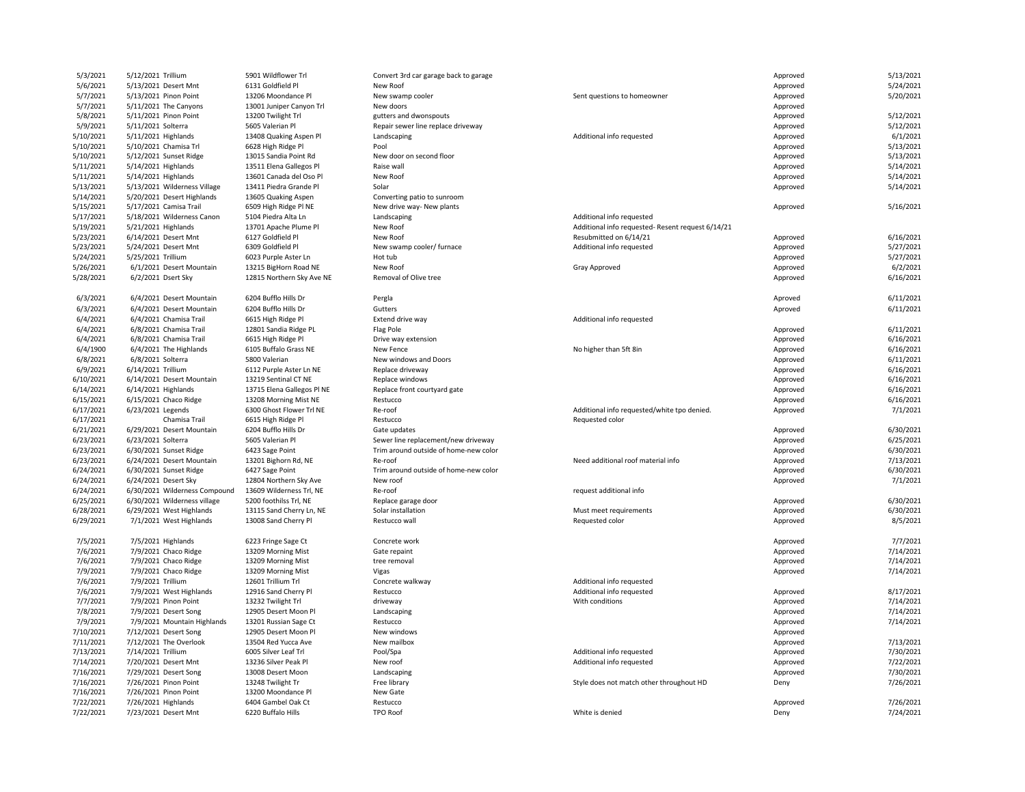| 5/3/2021  | 5/12/2021 Trillium            | 5901 Wildflower Trl        | Convert 3rd car garage back to garage |                                                   | Approved | 5/13/2021 |
|-----------|-------------------------------|----------------------------|---------------------------------------|---------------------------------------------------|----------|-----------|
| 5/6/2021  | 5/13/2021 Desert Mnt          | 6131 Goldfield Pl          | New Roof                              |                                                   | Approved | 5/24/2021 |
| 5/7/2021  | 5/13/2021 Pinon Point         | 13206 Moondance Pl         | New swamp cooler                      | Sent questions to homeowner                       | Approved | 5/20/2021 |
| 5/7/2021  | 5/11/2021 The Canyons         | 13001 Juniper Canyon Trl   | New doors                             |                                                   | Approved |           |
| 5/8/2021  | 5/11/2021 Pinon Point         | 13200 Twilight Trl         | gutters and dwonspouts                |                                                   | Approved | 5/12/2021 |
| 5/9/2021  | 5/11/2021 Solterra            | 5605 Valerian Pl           | Repair sewer line replace driveway    |                                                   | Approved | 5/12/2021 |
| 5/10/2021 | 5/11/2021 Highlands           | 13408 Quaking Aspen Pl     | Landscaping                           | Additional info requested                         | Approved | 6/1/2021  |
| 5/10/2021 | 5/10/2021 Chamisa Trl         | 6628 High Ridge Pl         | Pool                                  |                                                   | Approved | 5/13/2021 |
| 5/10/2021 | 5/12/2021 Sunset Ridge        | 13015 Sandia Point Rd      | New door on second floor              |                                                   | Approved | 5/13/2021 |
|           |                               |                            |                                       |                                                   |          |           |
| 5/11/2021 | 5/14/2021 Highlands           | 13511 Elena Gallegos Pl    | Raise wall                            |                                                   | Approved | 5/14/2021 |
| 5/11/2021 | 5/14/2021 Highlands           | 13601 Canada del Oso Pl    | New Roof                              |                                                   | Approved | 5/14/2021 |
| 5/13/2021 | 5/13/2021 Wilderness Village  | 13411 Piedra Grande Pl     | Solar                                 |                                                   | Approved | 5/14/2021 |
| 5/14/2021 | 5/20/2021 Desert Highlands    | 13605 Quaking Aspen        | Converting patio to sunroom           |                                                   |          |           |
| 5/15/2021 | 5/17/2021 Camisa Trail        | 6509 High Ridge PI NE      | New drive way- New plants             |                                                   | Approved | 5/16/2021 |
| 5/17/2021 | 5/18/2021 Wilderness Canon    | 5104 Piedra Alta Ln        | Landscaping                           | Additional info requested                         |          |           |
| 5/19/2021 | 5/21/2021 Highlands           | 13701 Apache Plume Pl      | New Roof                              | Additional info requested- Resent request 6/14/21 |          |           |
| 5/23/2021 | 6/14/2021 Desert Mnt          | 6127 Goldfield Pl          | New Roof                              | Resubmitted on 6/14/21                            | Approved | 6/16/2021 |
| 5/23/2021 | 5/24/2021 Desert Mnt          | 6309 Goldfield Pl          | New swamp cooler/ furnace             | Additional info requested                         | Approved | 5/27/2021 |
| 5/24/2021 | 5/25/2021 Trillium            | 6023 Purple Aster Ln       | Hot tub                               |                                                   | Approved | 5/27/2021 |
| 5/26/2021 | 6/1/2021 Desert Mountain      | 13215 BigHorn Road NE      | New Roof                              | Gray Approved                                     | Approved | 6/2/2021  |
| 5/28/2021 |                               |                            | Removal of Olive tree                 |                                                   | Approved | 6/16/2021 |
|           | 6/2/2021 Dsert Sky            | 12815 Northern Sky Ave NE  |                                       |                                                   |          |           |
|           |                               |                            |                                       |                                                   |          |           |
| 6/3/2021  | 6/4/2021 Desert Mountain      | 6204 Bufflo Hills Dr       | Pergla                                |                                                   | Aproved  | 6/11/2021 |
| 6/3/2021  | 6/4/2021 Desert Mountain      | 6204 Bufflo Hills Dr       | Gutters                               |                                                   | Aproved  | 6/11/2021 |
| 6/4/2021  | 6/4/2021 Chamisa Trail        | 6615 High Ridge Pl         | Extend drive way                      | Additional info requested                         |          |           |
| 6/4/2021  | 6/8/2021 Chamisa Trail        | 12801 Sandia Ridge PL      | Flag Pole                             |                                                   | Approved | 6/11/2021 |
| 6/4/2021  | 6/8/2021 Chamisa Trail        | 6615 High Ridge Pl         | Drive way extension                   |                                                   | Approved | 6/16/2021 |
| 6/4/1900  | 6/4/2021 The Highlands        | 6105 Buffalo Grass NE      | New Fence                             | No higher than 5ft 8in                            | Approved | 6/16/2021 |
| 6/8/2021  | 6/8/2021 Solterra             | 5800 Valerian              | New windows and Doors                 |                                                   | Approved | 6/11/2021 |
| 6/9/2021  | 6/14/2021 Trillium            | 6112 Purple Aster Ln NE    | Replace driveway                      |                                                   | Approved | 6/16/2021 |
| 6/10/2021 | 6/14/2021 Desert Mountain     | 13219 Sentinal CT NE       | Replace windows                       |                                                   | Approved | 6/16/2021 |
| 6/14/2021 | 6/14/2021 Highlands           | 13715 Elena Gallegos Pl NE | Replace front courtyard gate          |                                                   |          | 6/16/2021 |
|           |                               |                            |                                       |                                                   | Approved |           |
| 6/15/2021 | 6/15/2021 Chaco Ridge         | 13208 Morning Mist NE      | Restucco                              |                                                   | Approved | 6/16/2021 |
| 6/17/2021 | 6/23/2021 Legends             | 6300 Ghost Flower Trl NE   | Re-roof                               | Additional info requested/white tpo denied.       | Approved | 7/1/2021  |
| 6/17/2021 | Chamisa Trail                 | 6615 High Ridge Pl         | Restucco                              | Requested color                                   |          |           |
| 6/21/2021 | 6/29/2021 Desert Mountain     | 6204 Bufflo Hills Dr       | Gate updates                          |                                                   | Approved | 6/30/2021 |
| 6/23/2021 | 6/23/2021 Solterra            | 5605 Valerian Pl           | Sewer line replacement/new driveway   |                                                   | Approved | 6/25/2021 |
| 6/23/2021 | 6/30/2021 Sunset Ridge        | 6423 Sage Point            | Trim around outside of home-new color |                                                   | Approved | 6/30/2021 |
| 6/23/2021 | 6/24/2021 Desert Mountain     | 13201 Bighorn Rd, NE       | Re-roof                               | Need additional roof material info                | Approved | 7/13/2021 |
| 6/24/2021 | 6/30/2021 Sunset Ridge        | 6427 Sage Point            | Trim around outside of home-new color |                                                   | Approved | 6/30/2021 |
| 6/24/2021 | 6/24/2021 Desert Sky          | 12804 Northern Sky Ave     | New roof                              |                                                   | Approved | 7/1/2021  |
| 6/24/2021 | 6/30/2021 Wilderness Compound | 13609 Wilderness Trl, NE   | Re-roof                               | request additional info                           |          |           |
| 6/25/2021 | 6/30/2021 Wilderness village  | 5200 foothilss Trl, NE     | Replace garage door                   |                                                   | Approved | 6/30/2021 |
| 6/28/2021 | 6/29/2021 West Highlands      | 13115 Sand Cherry Ln, NE   | Solar installation                    | Must meet requirements                            | Approved | 6/30/2021 |
| 6/29/2021 | 7/1/2021 West Highlands       | 13008 Sand Cherry Pl       | Restucco wall                         | Requested color                                   |          | 8/5/2021  |
|           |                               |                            |                                       |                                                   | Approved |           |
|           |                               |                            |                                       |                                                   |          |           |
| 7/5/2021  | 7/5/2021 Highlands            | 6223 Fringe Sage Ct        | Concrete work                         |                                                   | Approved | 7/7/2021  |
| 7/6/2021  | 7/9/2021 Chaco Ridge          | 13209 Morning Mist         | Gate repaint                          |                                                   | Approved | 7/14/2021 |
| 7/6/2021  | 7/9/2021 Chaco Ridge          | 13209 Morning Mist         | tree removal                          |                                                   | Approved | 7/14/2021 |
| 7/9/2021  | 7/9/2021 Chaco Ridge          | 13209 Morning Mist         | Vigas                                 |                                                   | Approved | 7/14/2021 |
| 7/6/2021  | 7/9/2021 Trillium             | 12601 Trillium Trl         | Concrete walkway                      | Additional info requested                         |          |           |
| 7/6/2021  | 7/9/2021 West Highlands       | 12916 Sand Cherry Pl       | Restucco                              | Additional info requested                         | Approved | 8/17/2021 |
| 7/7/2021  | 7/9/2021 Pinon Point          | 13232 Twilight Trl         | driveway                              | With conditions                                   | Approved | 7/14/2021 |
| 7/8/2021  | 7/9/2021 Desert Song          | 12905 Desert Moon Pl       | Landscaping                           |                                                   | Approved | 7/14/2021 |
| 7/9/2021  | 7/9/2021 Mountain Highlands   | 13201 Russian Sage Ct      | Restucco                              |                                                   | Approved | 7/14/2021 |
| 7/10/2021 | 7/12/2021 Desert Song         | 12905 Desert Moon Pl       | New windows                           |                                                   | Approved |           |
| 7/11/2021 | 7/12/2021 The Overlook        | 13504 Red Yucca Ave        | New mailbox                           |                                                   | Approved | 7/13/2021 |
| 7/13/2021 | 7/14/2021 Trillium            | 6005 Silver Leaf Trl       | Pool/Spa                              | Additional info requested                         | Approved | 7/30/2021 |
| 7/14/2021 |                               | 13236 Silver Peak Pl       | New roof                              | Additional info requested                         |          | 7/22/2021 |
|           | 7/20/2021 Desert Mnt          |                            |                                       |                                                   | Approved |           |
| 7/16/2021 | 7/29/2021 Desert Song         | 13008 Desert Moon          | Landscaping                           |                                                   | Approved | 7/30/2021 |
| 7/16/2021 | 7/26/2021 Pinon Point         | 13248 Twilight Tr          | Free library                          | Style does not match other throughout HD          | Deny     | 7/26/2021 |
| 7/16/2021 | 7/26/2021 Pinon Point         | 13200 Moondance Pl         | New Gate                              |                                                   |          |           |
| 7/22/2021 | 7/26/2021 Highlands           | 6404 Gambel Oak Ct         | Restucco                              |                                                   | Approved | 7/26/2021 |
| 7/22/2021 | 7/23/2021 Desert Mnt          | 6220 Buffalo Hills         | <b>TPO Roof</b>                       | White is denied                                   | Deny     | 7/24/2021 |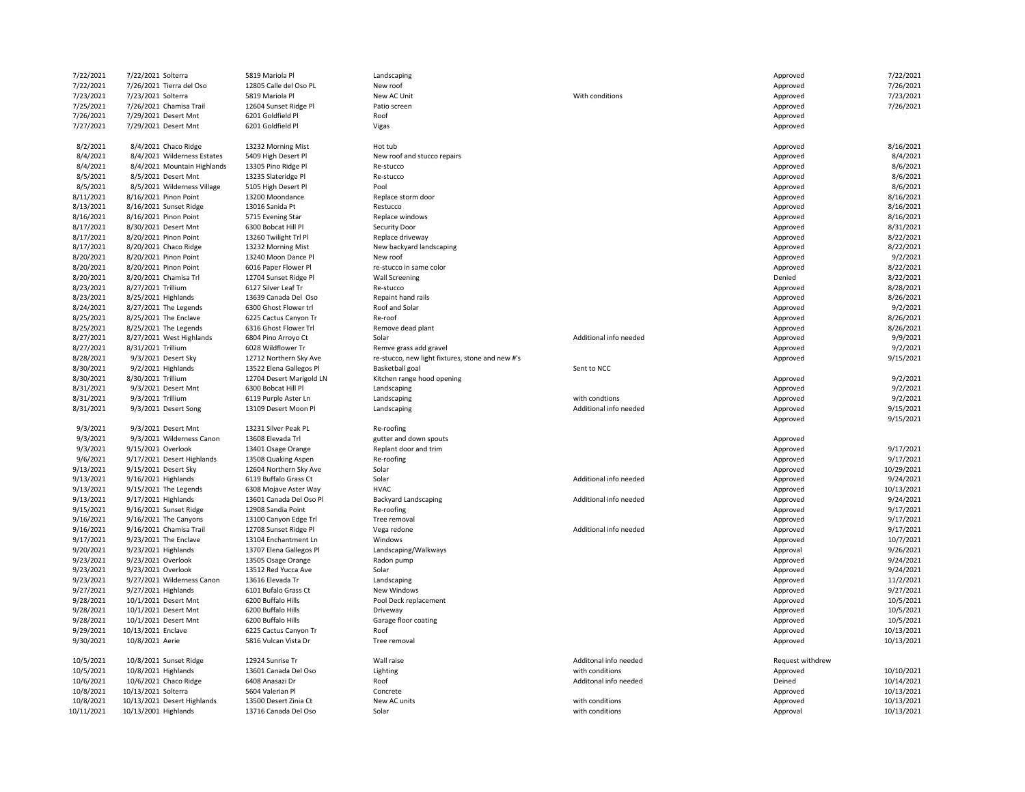| 7/22/2021              | 7/22/2021 Solterra                            | 5819 Mariola Pl                                 | Landscaping                                      |                        | Approved                     | 7/22/2021             |
|------------------------|-----------------------------------------------|-------------------------------------------------|--------------------------------------------------|------------------------|------------------------------|-----------------------|
| 7/22/2021              | 7/26/2021 Tierra del Oso                      | 12805 Calle del Oso PL                          | New roof                                         |                        | Approved                     | 7/26/2021             |
| 7/23/2021              | 7/23/2021 Solterra                            | 5819 Mariola Pl                                 | New AC Unit                                      | With conditions        | Approved                     | 7/23/2021             |
| 7/25/2021              | 7/26/2021 Chamisa Trail                       | 12604 Sunset Ridge Pl                           | Patio screen                                     |                        | Approved                     | 7/26/2021             |
| 7/26/2021              | 7/29/2021 Desert Mnt                          | 6201 Goldfield Pl                               | Roof                                             |                        | Approved                     |                       |
| 7/27/2021              | 7/29/2021 Desert Mnt                          | 6201 Goldfield Pl                               | Vigas                                            |                        | Approved                     |                       |
|                        |                                               |                                                 |                                                  |                        |                              |                       |
| 8/2/2021               | 8/4/2021 Chaco Ridge                          | 13232 Morning Mist                              | Hot tub                                          |                        | Approved                     | 8/16/2021             |
| 8/4/2021               | 8/4/2021 Wilderness Estates                   | 5409 High Desert Pl                             | New roof and stucco repairs                      |                        | Approved                     | 8/4/2021              |
| 8/4/2021               | 8/4/2021 Mountain Highlands                   | 13305 Pino Ridge Pl                             | Re-stucco                                        |                        | Approved                     | 8/6/2021              |
| 8/5/2021               | 8/5/2021 Desert Mnt                           | 13235 Slateridge Pl                             | Re-stucco                                        |                        | Approved                     | 8/6/2021              |
| 8/5/2021               | 8/5/2021 Wilderness Village                   | 5105 High Desert Pl                             | Pool                                             |                        | Approved                     | 8/6/2021              |
| 8/11/2021              | 8/16/2021 Pinon Point                         | 13200 Moondance                                 | Replace storm door                               |                        | Approved                     | 8/16/2021             |
| 8/13/2021              | 8/16/2021 Sunset Ridge                        | 13016 Sanida Pt                                 | Restucco                                         |                        | Approved                     | 8/16/2021             |
| 8/16/2021              | 8/16/2021 Pinon Point                         | 5715 Evening Star                               | Replace windows                                  |                        | Approved                     | 8/16/2021             |
| 8/17/2021              | 8/30/2021 Desert Mnt                          | 6300 Bobcat Hill Pl                             | Security Door                                    |                        | Approved                     | 8/31/2021             |
| 8/17/2021              | 8/20/2021 Pinon Point                         | 13260 Twilight Trl Pl                           | Replace driveway                                 |                        | Approved                     | 8/22/2021             |
| 8/17/2021              | 8/20/2021 Chaco Ridge                         | 13232 Morning Mist                              | New backyard landscaping                         |                        | Approved                     | 8/22/2021             |
| 8/20/2021              | 8/20/2021 Pinon Point                         | 13240 Moon Dance Pl                             | New roof                                         |                        | Approved                     | 9/2/2021              |
| 8/20/2021              | 8/20/2021 Pinon Point                         | 6016 Paper Flower Pl                            | re-stucco in same color                          |                        | Approved                     | 8/22/2021             |
| 8/20/2021              | 8/20/2021 Chamisa Trl                         | 12704 Sunset Ridge Pl                           | <b>Wall Screening</b>                            |                        | Denied                       | 8/22/2021             |
| 8/23/2021              | 8/27/2021 Trillium                            | 6127 Silver Leaf Tr                             | Re-stucco                                        |                        | Approved                     | 8/28/2021             |
| 8/23/2021              | 8/25/2021 Highlands                           | 13639 Canada Del Oso                            | Repaint hand rails                               |                        | Approved                     | 8/26/2021             |
| 8/24/2021              | 8/27/2021 The Legends                         | 6300 Ghost Flower trl                           | Roof and Solar                                   |                        | Approved                     | 9/2/2021              |
| 8/25/2021              | 8/25/2021 The Enclave                         | 6225 Cactus Canyon Tr                           | Re-roof                                          |                        | Approved                     | 8/26/2021             |
| 8/25/2021              | 8/25/2021 The Legends                         | 6316 Ghost Flower Trl                           | Remove dead plant                                |                        | Approved                     | 8/26/2021             |
| 8/27/2021              | 8/27/2021 West Highlands                      | 6804 Pino Arroyo Ct                             | Solar                                            | Additional info needed | Approved                     | 9/9/2021              |
| 8/27/2021              | 8/31/2021 Trillium                            | 6028 Wildflower Tr                              | Remve grass add gravel                           |                        | Approved                     | 9/2/2021<br>9/15/2021 |
| 8/28/2021              | 9/3/2021 Desert Sky                           | 12712 Northern Sky Ave                          | re-stucco, new light fixtures, stone and new #'s |                        | Approved                     |                       |
| 8/30/2021              | 9/2/2021 Highlands                            | 13522 Elena Gallegos Pl                         | Basketball goal                                  | Sent to NCC            |                              | 9/2/2021              |
| 8/30/2021              | 8/30/2021 Trillium                            | 12704 Desert Marigold LN<br>6300 Bobcat Hill Pl | Kitchen range hood opening                       |                        | Approved                     | 9/2/2021              |
| 8/31/2021<br>8/31/2021 | 9/3/2021 Desert Mnt<br>9/3/2021 Trillium      | 6119 Purple Aster Ln                            | Landscaping<br>Landscaping                       | with condtions         | Approved<br>Approved         | 9/2/2021              |
| 8/31/2021              | 9/3/2021 Desert Song                          | 13109 Desert Moon Pl                            | Landscaping                                      | Additional info needed | Approved                     | 9/15/2021             |
|                        |                                               |                                                 |                                                  |                        | Approved                     | 9/15/2021             |
| 9/3/2021               | 9/3/2021 Desert Mnt                           | 13231 Silver Peak PL                            | Re-roofing                                       |                        |                              |                       |
| 9/3/2021               | 9/3/2021 Wilderness Canon                     | 13608 Elevada Trl                               | gutter and down spouts                           |                        | Approved                     |                       |
| 9/3/2021               | 9/15/2021 Overlook                            | 13401 Osage Orange                              | Replant door and trim                            |                        | Approved                     | 9/17/2021             |
| 9/6/2021               | 9/17/2021 Desert Highlands                    | 13508 Quaking Aspen                             | Re-roofing                                       |                        | Approved                     | 9/17/2021             |
| 9/13/2021              | 9/15/2021 Desert Sky                          | 12604 Northern Sky Ave                          | Solar                                            |                        | Approved                     | 10/29/2021            |
| 9/13/2021              | 9/16/2021 Highlands                           | 6119 Buffalo Grass Ct                           | Solar                                            | Additional info needed | Approved                     | 9/24/2021             |
| 9/13/2021              | 9/15/2021 The Legends                         | 6308 Mojave Aster Way                           | <b>HVAC</b>                                      |                        | Approved                     | 10/13/2021            |
| 9/13/2021              | 9/17/2021 Highlands                           | 13601 Canada Del Oso Pl                         | <b>Backyard Landscaping</b>                      | Additional info needed | Approved                     | 9/24/2021             |
| 9/15/2021              | 9/16/2021 Sunset Ridge                        | 12908 Sandia Point                              | Re-roofing                                       |                        | Approved                     | 9/17/2021             |
| 9/16/2021              | 9/16/2021 The Canyons                         | 13100 Canyon Edge Trl                           | Tree removal                                     |                        | Approved                     | 9/17/2021             |
| 9/16/2021              | 9/16/2021 Chamisa Trail                       | 12708 Sunset Ridge Pl                           | Vega redone                                      | Additional info needed | Approved                     | 9/17/2021             |
| 9/17/2021              | 9/23/2021 The Enclave                         | 13104 Enchantment Ln                            | Windows                                          |                        | Approved                     | 10/7/2021             |
| 9/20/2021              | 9/23/2021 Highlands                           | 13707 Elena Gallegos Pl                         | Landscaping/Walkways                             |                        | Approval                     | 9/26/2021             |
| 9/23/2021              | 9/23/2021 Overlook                            | 13505 Osage Orange                              | Radon pump                                       |                        | Approved                     | 9/24/2021             |
| 9/23/2021              | 9/23/2021 Overlook                            | 13512 Red Yucca Ave                             | Solar                                            |                        | Approved                     | 9/24/2021             |
| 9/23/2021              | 9/27/2021 Wilderness Canon                    | 13616 Elevada Tr                                | Landscaping                                      |                        | Approved                     | 11/2/2021             |
| 9/27/2021              | 9/27/2021 Highlands                           | 6101 Bufalo Grass Ct                            | New Windows                                      |                        | Approved                     | 9/27/2021             |
| 9/28/2021              | 10/1/2021 Desert Mnt                          | 6200 Buffalo Hills                              | Pool Deck replacement                            |                        | Approved                     | 10/5/2021             |
| 9/28/2021              | 10/1/2021 Desert Mnt                          | 6200 Buffalo Hills                              | Driveway                                         |                        | Approved                     | 10/5/2021             |
| 9/28/2021              | 10/1/2021 Desert Mnt                          | 6200 Buffalo Hills                              | Garage floor coating                             |                        | Approved                     | 10/5/2021             |
| 9/29/2021              | 10/13/2021 Enclave                            | 6225 Cactus Canyon Tr                           | Roof                                             |                        | Approved                     | 10/13/2021            |
| 9/30/2021              | 10/8/2021 Aerie                               | 5816 Vulcan Vista Dr                            | Tree removal                                     |                        | Approved                     | 10/13/2021            |
|                        |                                               |                                                 |                                                  | Additonal info needed  |                              |                       |
| 10/5/2021<br>10/5/2021 | 10/8/2021 Sunset Ridge<br>10/8/2021 Highlands | 12924 Sunrise Tr<br>13601 Canada Del Oso        | Wall raise                                       | with conditions        | Request withdrew<br>Approved | 10/10/2021            |
| 10/6/2021              | 10/6/2021 Chaco Ridge                         | 6408 Anasazi Dr                                 | Lighting<br>Roof                                 | Additonal info needed  | Deined                       | 10/14/2021            |
| 10/8/2021              | 10/13/2021 Solterra                           | 5604 Valerian Pl                                | Concrete                                         |                        | Approved                     | 10/13/2021            |
| 10/8/2021              | 10/13/2021 Desert Highlands                   | 13500 Desert Zinia Ct                           | New AC units                                     | with conditions        | Approved                     | 10/13/2021            |
| 10/11/2021             | 10/13/2001 Highlands                          | 13716 Canada Del Oso                            | Solar                                            | with conditions        | Approval                     | 10/13/2021            |
|                        |                                               |                                                 |                                                  |                        |                              |                       |